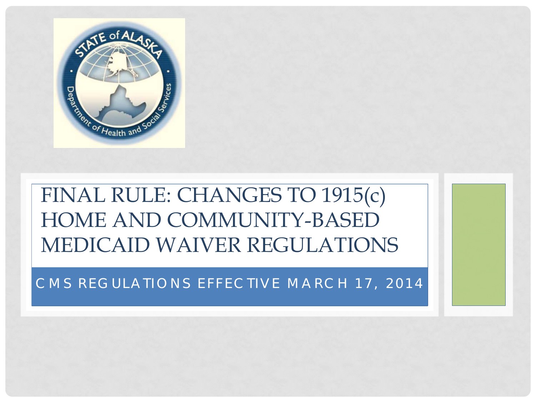

#### FINAL RULE: CHANGES TO 1915(c) HOME AND COMMUNITY-BASED MEDICAID WAIVER REGULATIONS

#### CMS REGULATIONS EFFECTIVE MARCH 17, 2014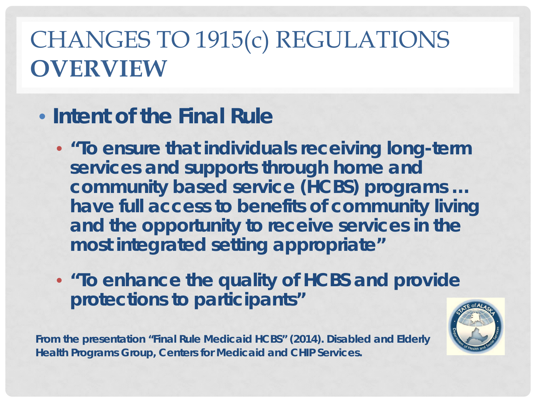#### CHANGES TO 1915(c) REGULATIONS **OVERVIEW**

#### • **Intent of the Final Rule**

- **"To ensure that individuals receiving long-term services and supports through home and community based service (HCBS) programs … have full access to benefits of community living and the opportunity to receive services in the most integrated setting appropriate"**
- **"To enhance the quality of HCBS and provide protections to participants"**

**From the presentation "Final Rule Medicaid HCBS" (2014). Disabled and Elderly Health Programs Group, Centers for Medicaid and CHIP Services.**

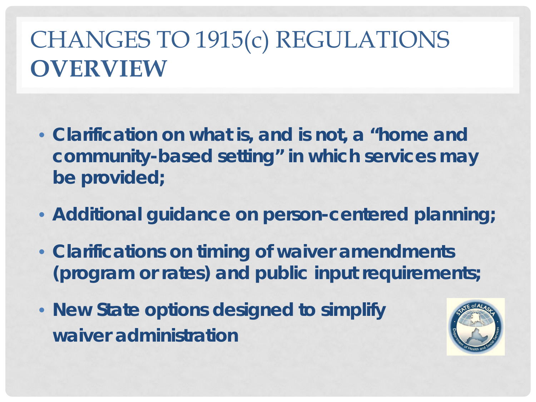#### CHANGES TO 1915(c) REGULATIONS **OVERVIEW**

- **Clarification on what is, and is not, a "home and community-based setting" in which services may be provided;**
- **Additional guidance on person-centered planning;**
- **Clarifications on timing of waiver amendments (program or rates) and public input requirements;**
- **New State options designed to simplify waiver administration**

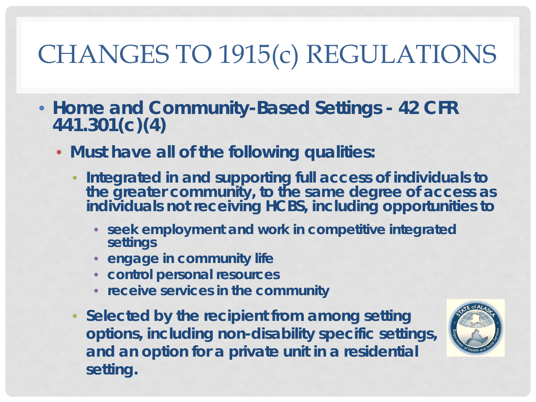- **Home and Community-Based Settings - 42 CFR 441.301(c)(4)**
	- **Must have all of the following qualities:**
		- **Integrated in and supporting full access of individuals to the greater community, to the same degree of access as individuals not receiving HCBS, including opportunities to** 
			- **seek employment and work in competitive integrated settings**
			- **engage in community life**
			- **control personal resources**
			- **receive services in the community**
		- **Selected by the recipient from among setting options, including non-disability specific settings, and an option for a private unit in a residential setting.**

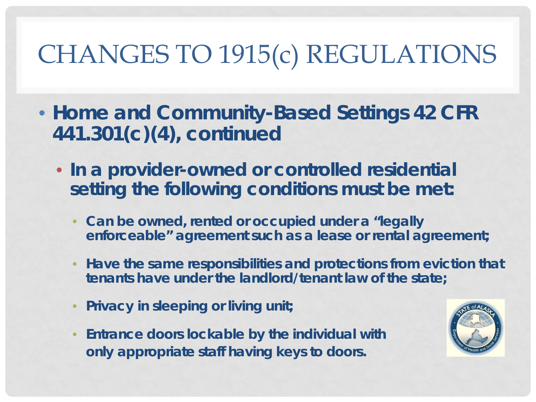- **Home and Community-Based Settings 42 CFR 441.301(c)(4), continued**
	- **In a provider-owned or controlled residential setting the following conditions must be met:**
		- **Can be owned, rented or occupied under a "legally enforceable" agreement such as a lease or rental agreement;**
		- **Have the same responsibilities and protections from eviction that tenants have under the landlord/tenant law of the state;**
		- **Privacy in sleeping or living unit;**
		- **Entrance doors lockable by the individual with only appropriate staff having keys to doors.**

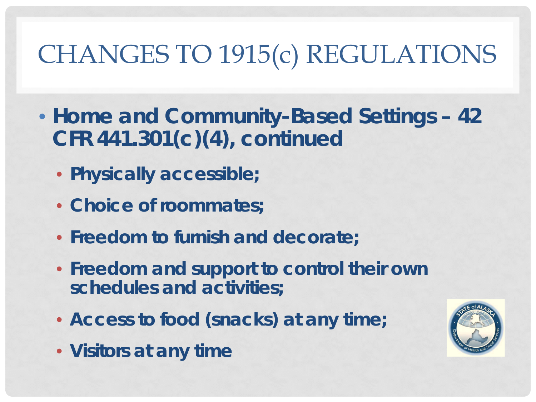- **Home and Community-Based Settings – 42 CFR 441.301(c)(4), continued**
	- **Physically accessible;**
	- **Choice of roommates;**
	- **Freedom to furnish and decorate;**
	- **Freedom and support to control their own schedules and activities;**
	- **Access to food (snacks) at any time;**
	- **Visitors at any time**

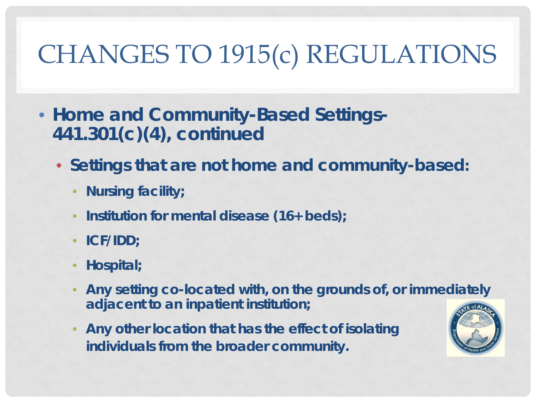- **Home and Community-Based Settings-441.301(c)(4), continued**
	- **Settings that are not home and community-based:**
		- **Nursing facility;**
		- **Institution for mental disease (16+ beds);**
		- **ICF/IDD;**
		- **Hospital;**
		- **Any setting co-located with, on the grounds of, or immediately adjacent to an inpatient institution;**
		- **Any other location that has the effect of isolating individuals from the broader community.**

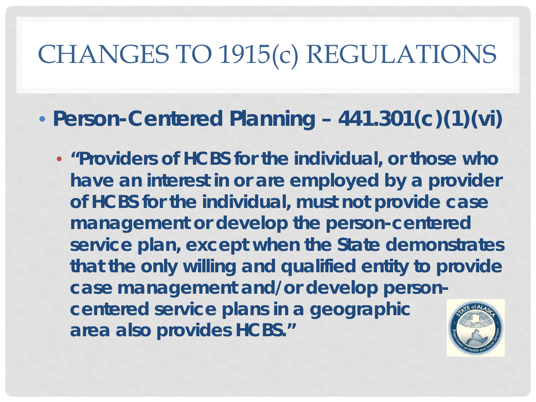• **Person-Centered Planning – 441.301(c)(1)(vi)**

• **"Providers of HCBS for the individual, or those who have an interest in or are employed by a provider of HCBS for the individual, must not provide case management or develop the person-centered service plan, except when the State demonstrates that the only willing and qualified entity to provide case management and/or develop personcentered service plans in a geographic area also provides HCBS."**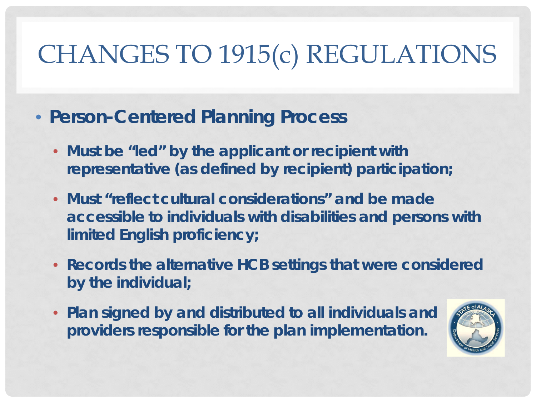- **Person-Centered Planning Process**
	- **Must be "led" by the applicant or recipient with representative (as defined by recipient) participation;**
	- **Must "reflect cultural considerations" and be made accessible to individuals with disabilities and persons with limited English proficiency;**
	- **Records the alternative HCB settings that were considered by the individual;**
	- **Plan signed by and distributed to all individuals and providers responsible for the plan implementation.**

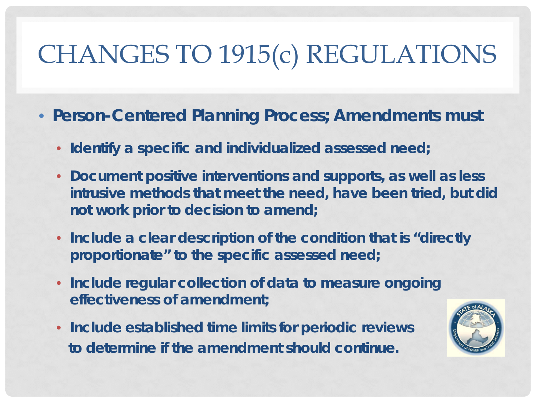- **Person-Centered Planning Process; Amendments must**
	- **Identify a specific and individualized assessed need;**
	- **Document positive interventions and supports, as well as less intrusive methods that meet the need, have been tried, but did not work prior to decision to amend;**
	- **Include a clear description of the condition that is "directly proportionate" to the specific assessed need;**
	- **Include regular collection of data to measure ongoing effectiveness of amendment;**
	- **Include established time limits for periodic reviews to determine if the amendment should continue.**

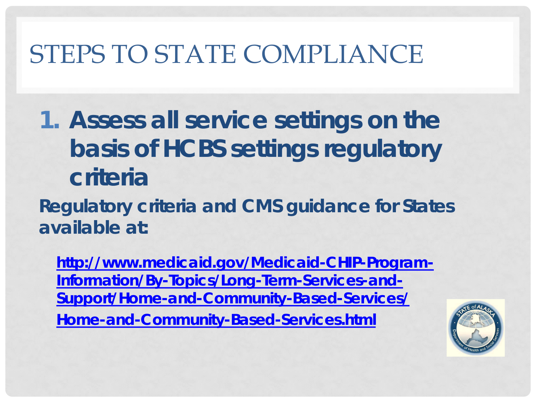- *1. Assess all service settings on the basis of HCBS settings regulatory criteria*
- **Regulatory criteria and CMS guidance for States available at:**

**[http://www.medicaid.gov/Medicaid-CHIP-Program-](http://www.medicaid.gov/Medicaid-CHIP-Program-Information/By-Topics/Long-Term-Services-and-Support/Home-and-Community-Based-Services/Home-and-Community-Based-Services.html)[Information/By-Topics/Long-Term-Services-and-](http://www.medicaid.gov/Medicaid-CHIP-Program-Information/By-Topics/Long-Term-Services-and-Support/Home-and-Community-Based-Services/Home-and-Community-Based-Services.html)[Support/Home-and-Community-Based-Services/](http://www.medicaid.gov/Medicaid-CHIP-Program-Information/By-Topics/Long-Term-Services-and-Support/Home-and-Community-Based-Services/Home-and-Community-Based-Services.html) [Home-and-Community-Based-Services.html](http://www.medicaid.gov/Medicaid-CHIP-Program-Information/By-Topics/Long-Term-Services-and-Support/Home-and-Community-Based-Services/Home-and-Community-Based-Services.html)**

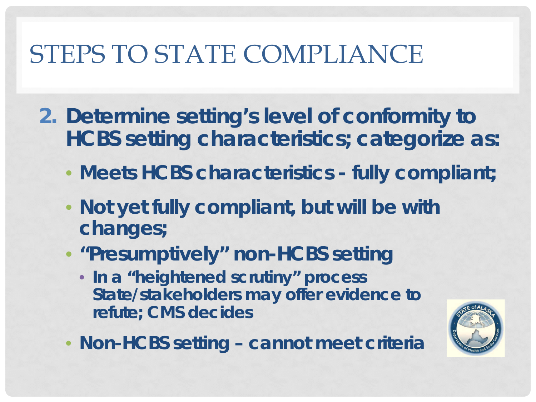- *2. Determine setting's level of conformity to HCBS setting characteristics; categorize as:*
	- **Meets HCBS characteristics - fully compliant;**
	- **Not yet fully compliant, but will be with changes;**
	- **"Presumptively" non-HCBS setting**
		- **In a "heightened scrutiny" process State/stakeholders may offer evidence to refute; CMS decides**
- 
- **Non-HCBS setting – cannot meet criteria**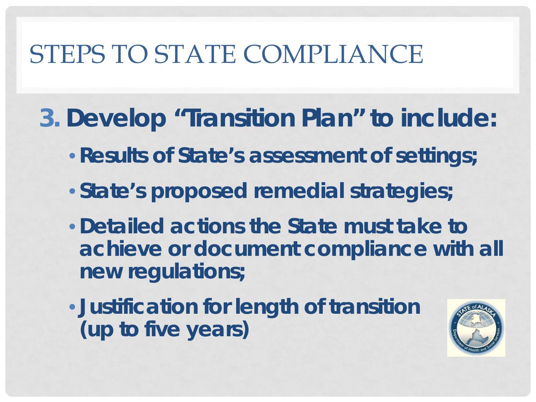- *3. Develop "Transition Plan" to include:*
	- •**Results of State's assessment of settings;**
	- **State's proposed remedial strategies;**
	- •**Detailed actions the State must take to achieve or document compliance with all new regulations;**
	- **Justification for length of transition (up to five years)**

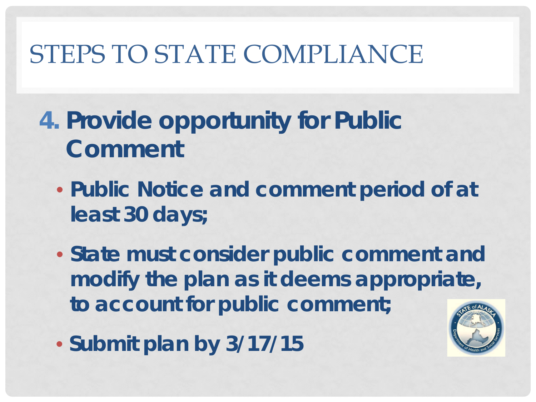- *4. Provide opportunity for Public Comment*
	- **Public Notice and comment period of at least 30 days;**
	- **State must consider public comment and modify the plan as it deems appropriate, to account for public comment;**
	- **Submit plan by 3/17/15**

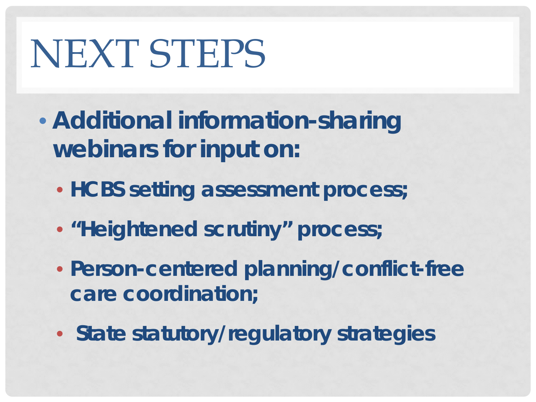# NEXT STEPS

- *Additional information-sharing webinars for input on:*
	- **HCBS setting assessment process;**
	- **"Heightened scrutiny" process;**
	- **Person-centered planning/conflict-free care coordination;**
	- **State statutory/regulatory strategies**